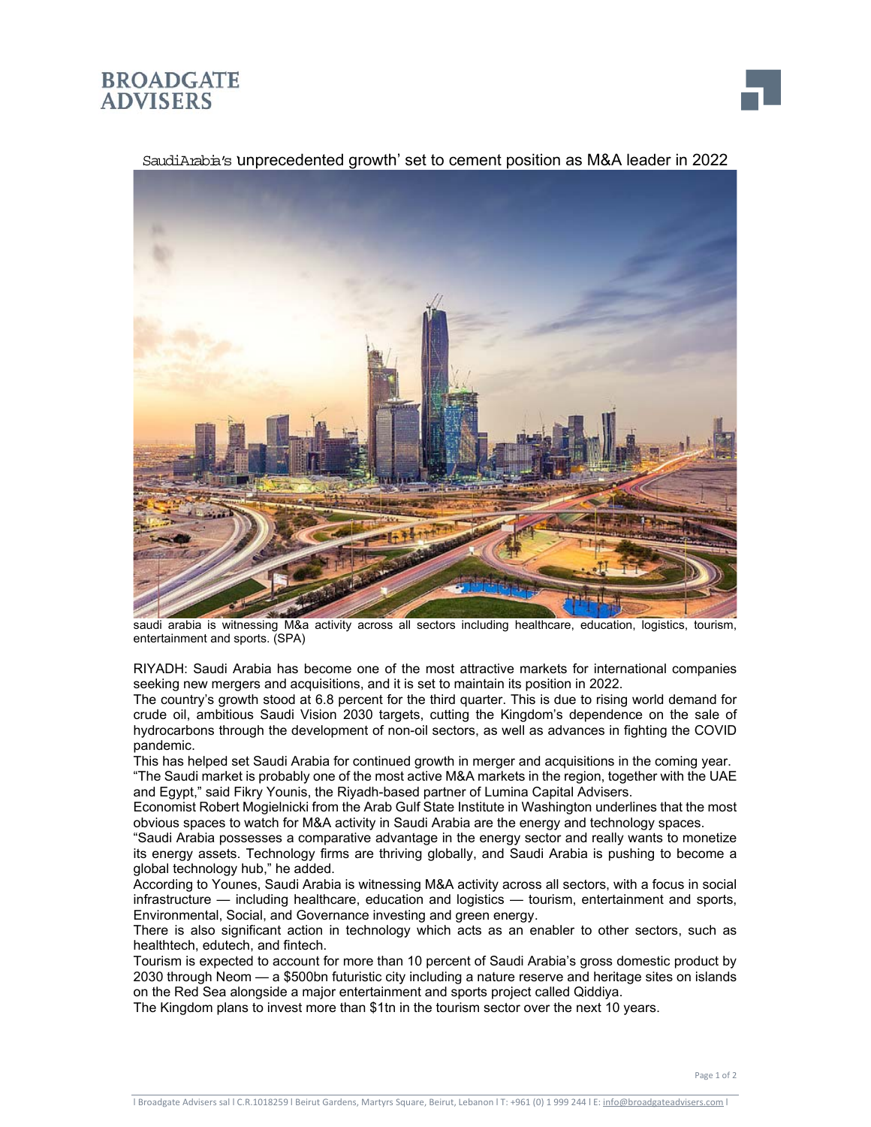## **BROADGATE ADVISERS**





SaudiArabia's unprecedented growth' set to cement position as M&A leader in 2022

saudi arabia is witnessing M&a activity across all sectors including healthcare, education, logistics, tourism, entertainment and sports. (SPA)

RIYADH: Saudi Arabia has become one of the most attractive markets for international companies seeking new mergers and acquisitions, and it is set to maintain its position in 2022.

The country's growth stood at 6.8 percent for the third quarter. This is due to rising world demand for crude oil, ambitious Saudi Vision 2030 targets, cutting the Kingdom's dependence on the sale of hydrocarbons through the development of non-oil sectors, as well as advances in fighting the COVID pandemic.

This has helped set Saudi Arabia for continued growth in merger and acquisitions in the coming year. "The Saudi market is probably one of the most active M&A markets in the region, together with the UAE and Egypt," said Fikry Younis, the Riyadh-based partner of Lumina Capital Advisers.

Economist Robert Mogielnicki from the Arab Gulf State Institute in Washington underlines that the most obvious spaces to watch for M&A activity in Saudi Arabia are the energy and technology spaces.

"Saudi Arabia possesses a comparative advantage in the energy sector and really wants to monetize its energy assets. Technology firms are thriving globally, and Saudi Arabia is pushing to become a global technology hub," he added.

According to Younes, Saudi Arabia is witnessing M&A activity across all sectors, with a focus in social infrastructure — including healthcare, education and logistics — tourism, entertainment and sports, Environmental, Social, and Governance investing and green energy.

There is also significant action in technology which acts as an enabler to other sectors, such as healthtech, edutech, and fintech.

Tourism is expected to account for more than 10 percent of Saudi Arabia's gross domestic product by 2030 through Neom — a \$500bn futuristic city including a nature reserve and heritage sites on islands on the Red Sea alongside a major entertainment and sports project called Qiddiya.

The Kingdom plans to invest more than \$1tn in the tourism sector over the next 10 years.